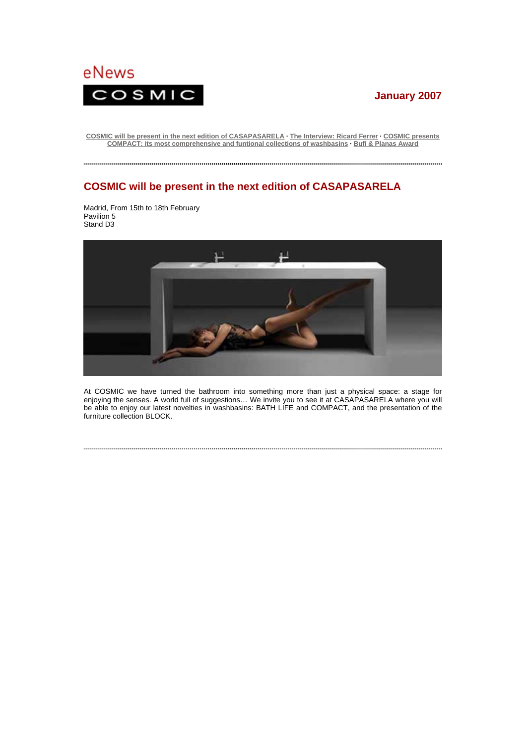

# **January 2007**

**COSMIC will be present in the next edition of CASAPASARELA · The Interview: Ricard Ferrer · COSMIC presents COMPACT: its most comprehensive and funtional collections of washbasins · Bufí & Planas Award**

### 

# **COSMIC will be present in the next edition of CASAPASARELA**

Madrid, From 15th to 18th February Pavilion 5 Stand D3



 At COSMIC we have turned the bathroom into something more than just a physical space: a stage for enjoying the senses. A world full of suggestions… We invite you to see it at CASAPASARELA where you will be able to enjoy our latest novelties in washbasins: BATH LIFE and COMPACT, and the presentation of the furniture collection BLOCK.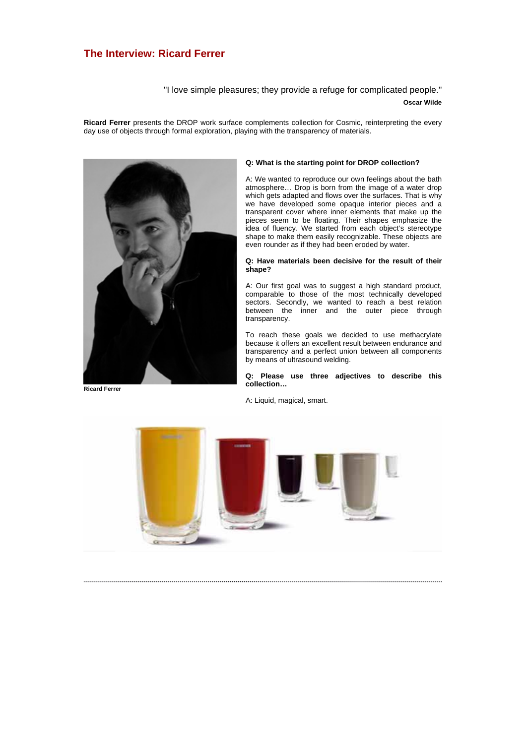## **The Interview: Ricard Ferrer**

"I love simple pleasures; they provide a refuge for complicated people."

**Oscar Wilde**

**Ricard Ferrer** presents the DROP work surface complements collection for Cosmic, reinterpreting the every day use of objects through formal exploration, playing with the transparency of materials.



#### **Ricard Ferrer**

## **Q: What is the starting point for DROP collection?**

A: We wanted to reproduce our own feelings about the bath atmosphere… Drop is born from the image of a water drop which gets adapted and flows over the surfaces. That is why we have developed some opaque interior pieces and a transparent cover where inner elements that make up the pieces seem to be floating. Their shapes emphasize the idea of fluency. We started from each object's stereotype shape to make them easily recognizable. These objects are even rounder as if they had been eroded by water.

## **Q: Have materials been decisive for the result of their shape?**

A: Our first goal was to suggest a high standard product, comparable to those of the most technically developed sectors. Secondly, we wanted to reach a best relation between the inner and the outer piece through transparency.

To reach these goals we decided to use methacrylate because it offers an excellent result between endurance and transparency and a perfect union between all components by means of ultrasound welding.

**Q: Please use three adjectives to describe this collection…** 



A: Liquid, magical, smart.